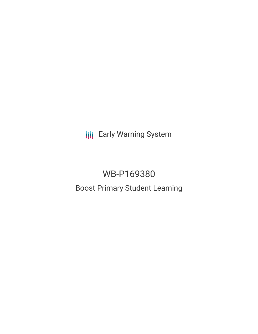**III** Early Warning System

# WB-P169380 Boost Primary Student Learning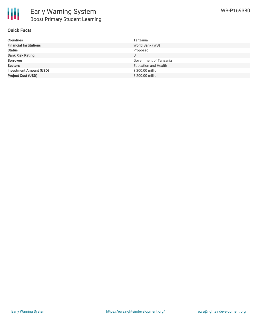

### **Quick Facts**

| <b>Countries</b>               | Tanzania                    |
|--------------------------------|-----------------------------|
| <b>Financial Institutions</b>  | World Bank (WB)             |
| <b>Status</b>                  | Proposed                    |
| <b>Bank Risk Rating</b>        |                             |
| <b>Borrower</b>                | Government of Tanzania      |
| <b>Sectors</b>                 | <b>Education and Health</b> |
| <b>Investment Amount (USD)</b> | \$200.00 million            |
| <b>Project Cost (USD)</b>      | \$200.00 million            |
|                                |                             |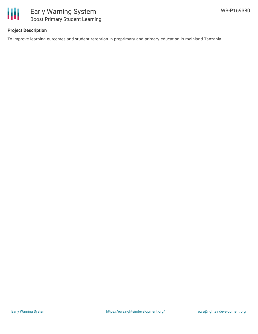

## **Project Description**

To improve learning outcomes and student retention in preprimary and primary education in mainland Tanzania.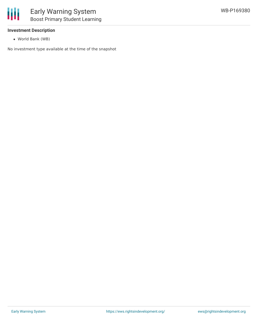

## **Investment Description**

World Bank (WB)

No investment type available at the time of the snapshot